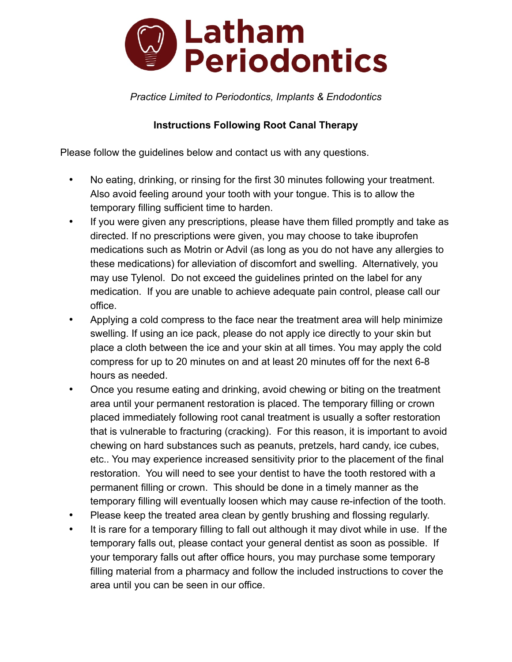

*Practice Limited to Periodontics, Implants & Endodontics*

## **Instructions Following Root Canal Therapy**

Please follow the guidelines below and contact us with any questions.

- No eating, drinking, or rinsing for the first 30 minutes following your treatment. Also avoid feeling around your tooth with your tongue. This is to allow the temporary filling sufficient time to harden.
- If you were given any prescriptions, please have them filled promptly and take as directed. If no prescriptions were given, you may choose to take ibuprofen medications such as Motrin or Advil (as long as you do not have any allergies to these medications) for alleviation of discomfort and swelling. Alternatively, you may use Tylenol. Do not exceed the guidelines printed on the label for any medication. If you are unable to achieve adequate pain control, please call our office.
- Applying a cold compress to the face near the treatment area will help minimize swelling. If using an ice pack, please do not apply ice directly to your skin but place a cloth between the ice and your skin at all times. You may apply the cold compress for up to 20 minutes on and at least 20 minutes off for the next 6-8 hours as needed.
- Once you resume eating and drinking, avoid chewing or biting on the treatment area until your permanent restoration is placed. The temporary filling or crown placed immediately following root canal treatment is usually a softer restoration that is vulnerable to fracturing (cracking). For this reason, it is important to avoid chewing on hard substances such as peanuts, pretzels, hard candy, ice cubes, etc.. You may experience increased sensitivity prior to the placement of the final restoration. You will need to see your dentist to have the tooth restored with a permanent filling or crown. This should be done in a timely manner as the temporary filling will eventually loosen which may cause re-infection of the tooth.
- Please keep the treated area clean by gently brushing and flossing regularly.
- It is rare for a temporary filling to fall out although it may divot while in use. If the temporary falls out, please contact your general dentist as soon as possible. If your temporary falls out after office hours, you may purchase some temporary filling material from a pharmacy and follow the included instructions to cover the area until you can be seen in our office.